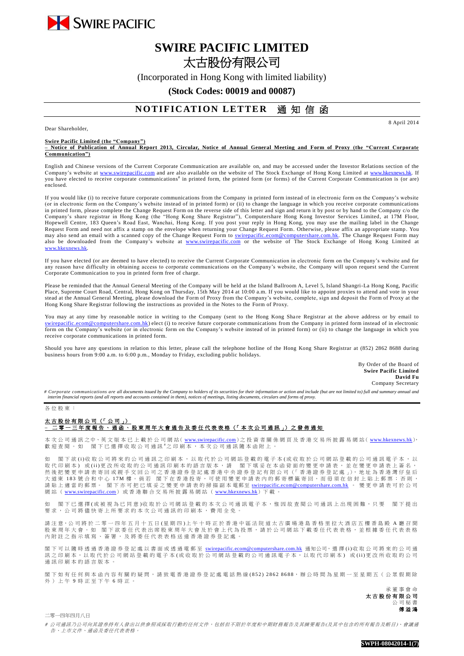

## **SWIRE PACIFIC LIMITED** 太古股份有限公司

(Incorporated in Hong Kong with limited liability)

**(Stock Codes: 00019 and 00087)**

## **NOTIFICATION LETTER 通知信函**

8 April 2014

Dear Shareholder,

**Swire Pacific Limited (the "Company")**

**– Notice of Publication of Annual Report 2013, Circular, Notice of Annual General Meeting and Form of Proxy (the "Current Corporate Communication")**

English and Chinese versions of the Current Corporate Communication are available on, and may be accessed under the Investor Relations section of the Company's website at [www.swirepacific.com](http://www.swirepacific.com/) and are also available on the website of The Stock Exchange of Hong Kong Limited at [www.hkexnews.hk.](http://www.hkexnews.hk/) If you have elected to receive corporate communications<sup>#</sup> in printed form, the printed form (or forms) of the Current Corporate Communication is (or are) enclosed.

If you would like (i) to receive future corporate communications from the Company in printed form instead of in electronic form on the Company's website (or in electronic form on the Company's website instead of in printed form) or (ii) to change the language in which you receive corporate communications in printed form, please complete the Change Request Form on the reverse side of this letter and sign and return it by post or by hand to the Company c/o the Company's share registrar in Hong Kong (the "Hong Kong Share Registrar"), Computershare Hong Kong Investor Services Limited, at 17M Floor, Hopewell Centre, 183 Queen's Road East, Wanchai, Hong Kong. If you post your reply in Hong Kong, you may use the mailing label in the Change Request Form and need not affix a stamp on the envelope when returning your Change Request Form. Otherwise, please affix an appropriate stamp. You may also send an email with a scanned copy of the Change Request Form to *swirepacific.ecom@computershare.com.hk*. The Change Request Form may also be downloaded from the Company's website at [www.swirepacific.com](http://www.swirepacific.com/) or the website of The Stock Exchange of Hong Kong Limited at [www.hkexnews.hk](http://www.hkexnews.hk/).

If you have elected (or are deemed to have elected) to receive the Current Corporate Communication in electronic form on the Company's website and for any reason have difficulty in obtaining access to corporate communications on the Company's website, the Company will upon request send the Current Corporate Communication to you in printed form free of charge.

Please be reminded that the Annual General Meeting of the Company will be held at the Island Ballroom A, Level 5, Island Shangri-La Hong Kong, Pacific Place, Supreme Court Road, Central, Hong Kong on Thursday, 15th May 2014 at 10:00 a.m. If you would like to appoint proxies to attend and vote in your stead at the Annual General Meeting, please download the Form of Proxy from the Company's website, complete, sign and deposit the Form of Proxy at the Hong Kong Share Registrar following the instructions as provided in the Notes to the Form of Proxy.

You may at any time by reasonable notice in writing to the Company (sent to the Hong Kong Share Registrar at the above address or by email to m.hk) elect (i) to receive future corporate communications from the Company in printed form instead of in electronic form on the Company's website (or in electronic form on the Company's website instead of in printed form) or (ii) to change the language in which you receive corporate communications in printed form.

Should you have any questions in relation to this letter, please call the telephone hotline of the Hong Kong Share Registrar at (852) 2862 8688 during business hours from 9:00 a.m. to 6:00 p.m., Monday to Friday, excluding public holidays.

> By Order of the Board of **Swire Pacific Limited David Fu** Company Secretary

*# Corporate communications are all documents issued by the Company to holders of its securities for their information or action and include (but are not limited to) full and summary annual and interim financial reports (and all reports and accounts contained in them), notices of meetings, listing documents, circulars and forms of proxy.*

各 位 股 東 :

## 太古股份有限公司 (「 公 司 」) **–** 二零一三 年度報告、通函 、 股 東 周 年 大 會 通 告 及 委 任 代 表 表 格 (「 本 次 公 司 通 訊 」) 之 發 佈 通 知

本 次 公 司 通 訊 之 中、英 文 版 本 已 上 載 於 公 司 網 站( [www.swirepacific.com](http://www.swirepacific.com/)) 之 投 資 者 關 係 網 頁 及 香 港 交 易 所 披 露 易 網 站( [www.hkexnews.hk](http://www.hkexnews.hk/)), 歡 迎 查 閱 。 如 閣 下 已 選 擇 收 取 公 司 通 訊 # 之印刷本, 本次公司通訊隨本函附上 。

閣下欲(i)收取公司將來的公司通訊之印刷本,以取代於公司網站登載的電子本(或收取於公司網站登載的公司通訊電子本,以 取代印刷本)或(ii)更改所收取的公司通訊印刷本的語言版本,請 閣下填妥在本函背面的變更申請表,並在變更申請表上簽名, 然後把變更申請表寄回或親手交回公司之香港證券登記處香港中央證券登記有限公司(「香港證券登記處」), 地址為香港灣仔皇后 大 道 東 183 號 合 和 中 心 17M 樓 。 倘 若 閣 下 在 香 港 投 寄 , 可 使 用 變 更 申 請 表 内 的 郵 寄 標 籤 寄 回 , 而 毋 須 在 信 封 上 貼 上 郵 票 ; 否 則 , 請貼上適當的郵票。 閣下亦可把已填妥之變更申請表的掃描副本電郵至 [swirepacific.ecom@computershare.com.hk](mailto:swirepacific.ecom@computershare.com.hk) 。 變更申請表可於公司 網站 ( [www.swirepacific.com](http://www.swirepacific.com/)) 或香港聯合交易所披露易網站 ( [www.hkexnews.hk](http://www.hkexnews.hk/)) 下載

如 閣下已 選擇(或被視為已同意)收取於公司網站登載的本次公司通訊電子本,惟因故查閱公司通訊上出現困難,只要 閣下提出 要求, 公司將儘 快 寄 上 所 要 求 的 本 次 公 司 通 訊 的 印 刷 本 , 費 用 全 免 。

請注意,公司將於二零一四年五月十五日(星期四)上午十時正於香港中區法院道太古廣場港島香格里拉大酒店五樓香島殿 A 廳召開 股 東 周 年 大 會 。 如 閣 下 欲 委 任 代 表 出 席 股 東 周 年 大 會 及 於 會 上 代 為 投 票 , 請 於 公 司 網 站 下 載 委 任 代 表 表 格 , 並 根 據 委 任 代 表 表 格 內 附 註 之 指 示 填 寫 、 簽 署 , 及 將 委 任 代 表 表 格 送 達 香 港 證 券 登 記 處 。

閣下可以 隨時 透 過 香 港 證 券 登 記 處 以 書 面 或 透 過 電 郵 至 [swirepacific.ecom@computershare.com.hk](mailto:swirepacific.ecom@computershare.com.hk) 通知公司, 選 擇 (i)收 取 公 司 將 來 的 公 司 通 訊之 印 刷 本, 以 取 代 於 公 司 網 站 登 載 的 電 子 本 (或 收 取 於 公 司 網 站 登 載 的 公 司 通 訊 電 子 本, 以 取 代 印 刷 本) 或 (ii)更 改 所 收 取 的 公 司 通訊印刷本的語言版本

閣下如有任何與本函內容有關的疑問,請致電香港證券登記處電話熱線(852) 2862 8688,辦公時間為星期一至星期五(公眾假期除 外)上午9時正至下午6時正。

> 承 董 事 會 命 太古股份有限公司 公 司 秘 書 傅溢鴻

二零一四年四月八日

# 公司通訊乃公司向其證券持有人發出以供參照或採取行動的任何文件,包括但不限於年度和中期財務報告及其摘要報告(及其中包含的所有報告及帳目)、會議通 告、上市文件、通函及委任代表表格。